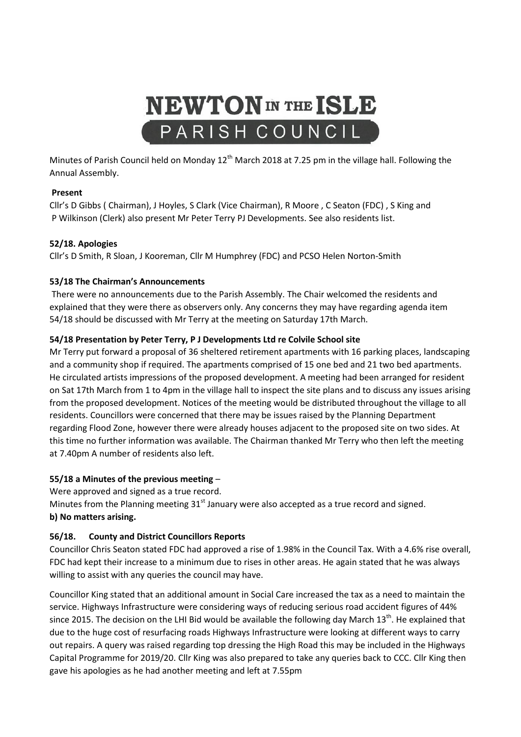

Minutes of Parish Council held on Monday 12<sup>th</sup> March 2018 at 7.25 pm in the village hall. Following the Annual Assembly.

# **Present**

Cllr's D Gibbs ( Chairman), J Hoyles, S Clark (Vice Chairman), R Moore , C Seaton (FDC) , S King and P Wilkinson (Clerk) also present Mr Peter Terry PJ Developments. See also residents list.

## **52/18. Apologies**

Cllr's D Smith, R Sloan, J Kooreman, Cllr M Humphrey (FDC) and PCSO Helen Norton-Smith

## **53/18 The Chairman's Announcements**

There were no announcements due to the Parish Assembly. The Chair welcomed the residents and explained that they were there as observers only. Any concerns they may have regarding agenda item 54/18 should be discussed with Mr Terry at the meeting on Saturday 17th March.

## **54/18 Presentation by Peter Terry, P J Developments Ltd re Colvile School site**

Mr Terry put forward a proposal of 36 sheltered retirement apartments with 16 parking places, landscaping and a community shop if required. The apartments comprised of 15 one bed and 21 two bed apartments. He circulated artists impressions of the proposed development. A meeting had been arranged for resident on Sat 17th March from 1 to 4pm in the village hall to inspect the site plans and to discuss any issues arising from the proposed development. Notices of the meeting would be distributed throughout the village to all residents. Councillors were concerned that there may be issues raised by the Planning Department regarding Flood Zone, however there were already houses adjacent to the proposed site on two sides. At this time no further information was available. The Chairman thanked Mr Terry who then left the meeting at 7.40pm A number of residents also left.

# **55/18 a Minutes of the previous meeting** –

Were approved and signed as a true record.

Minutes from the Planning meeting  $31<sup>st</sup>$  January were also accepted as a true record and signed. **b) No matters arising.**

# **56/18. County and District Councillors Reports**

Councillor Chris Seaton stated FDC had approved a rise of 1.98% in the Council Tax. With a 4.6% rise overall, FDC had kept their increase to a minimum due to rises in other areas. He again stated that he was always willing to assist with any queries the council may have.

Councillor King stated that an additional amount in Social Care increased the tax as a need to maintain the service. Highways Infrastructure were considering ways of reducing serious road accident figures of 44% since 2015. The decision on the LHI Bid would be available the following day March 13<sup>th</sup>. He explained that due to the huge cost of resurfacing roads Highways Infrastructure were looking at different ways to carry out repairs. A query was raised regarding top dressing the High Road this may be included in the Highways Capital Programme for 2019/20. Cllr King was also prepared to take any queries back to CCC. Cllr King then gave his apologies as he had another meeting and left at 7.55pm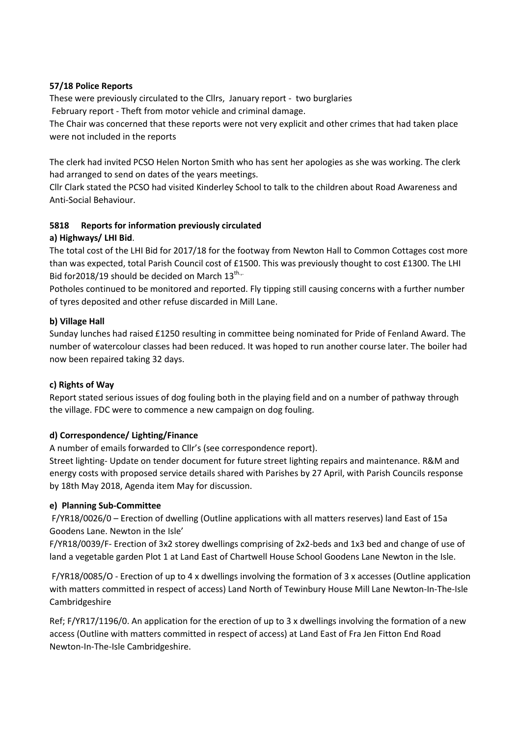## **57/18 Police Reports**

These were previously circulated to the Cllrs, January report - two burglaries February report - Theft from motor vehicle and criminal damage.

The Chair was concerned that these reports were not very explicit and other crimes that had taken place were not included in the reports

The clerk had invited PCSO Helen Norton Smith who has sent her apologies as she was working. The clerk had arranged to send on dates of the years meetings.

Cllr Clark stated the PCSO had visited Kinderley School to talk to the children about Road Awareness and Anti-Social Behaviour.

# **5818 Reports for information previously circulated**

## **a) Highways/ LHI Bid**.

The total cost of the LHI Bid for 2017/18 for the footway from Newton Hall to Common Cottages cost more than was expected, total Parish Council cost of £1500. This was previously thought to cost £1300. The LHI Bid for 2018/19 should be decided on March  $13^{\text{th}}$ .

Potholes continued to be monitored and reported. Fly tipping still causing concerns with a further number of tyres deposited and other refuse discarded in Mill Lane.

## **b) Village Hall**

Sunday lunches had raised £1250 resulting in committee being nominated for Pride of Fenland Award. The number of watercolour classes had been reduced. It was hoped to run another course later. The boiler had now been repaired taking 32 days.

#### **c) Rights of Way**

Report stated serious issues of dog fouling both in the playing field and on a number of pathway through the village. FDC were to commence a new campaign on dog fouling.

# **d) Correspondence/ Lighting/Finance**

A number of emails forwarded to Cllr's (see correspondence report).

Street lighting- Update on tender document for future street lighting repairs and maintenance. R&M and energy costs with proposed service details shared with Parishes by 27 April, with Parish Councils response by 18th May 2018, Agenda item May for discussion.

# **e) Planning Sub-Committee**

F/YR18/0026/0 – Erection of dwelling (Outline applications with all matters reserves) land East of 15a Goodens Lane. Newton in the Isle'

F/YR18/0039/F- Erection of 3x2 storey dwellings comprising of 2x2-beds and 1x3 bed and change of use of land a vegetable garden Plot 1 at Land East of Chartwell House School Goodens Lane Newton in the Isle.

F/YR18/0085/O - Erection of up to 4 x dwellings involving the formation of 3 x accesses (Outline application with matters committed in respect of access) Land North of Tewinbury House Mill Lane Newton-In-The-Isle Cambridgeshire

Ref; F/YR17/1196/0. An application for the erection of up to 3 x dwellings involving the formation of a new access (Outline with matters committed in respect of access) at Land East of Fra Jen Fitton End Road Newton-In-The-Isle Cambridgeshire.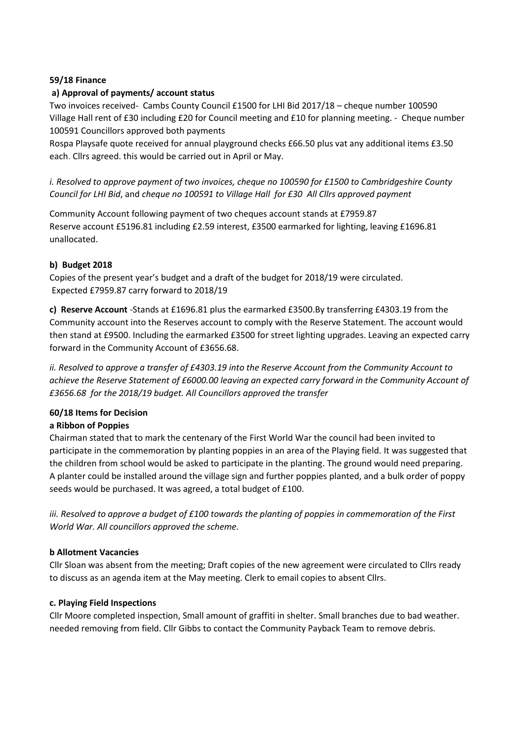# **59/18 Finance**

## **a) Approval of payments/ account status**

Two invoices received- Cambs County Council £1500 for LHI Bid 2017/18 – cheque number 100590 Village Hall rent of £30 including £20 for Council meeting and £10 for planning meeting. - Cheque number 100591 Councillors approved both payments

Rospa Playsafe quote received for annual playground checks £66.50 plus vat any additional items £3.50 each. Cllrs agreed. this would be carried out in April or May.

*i. Resolved to approve payment of two invoices, cheque no 100590 for £1500 to Cambridgeshire County Council for LHI Bid*, and *cheque no 100591 to Village Hall for £30 All Cllrs approved payment*

Community Account following payment of two cheques account stands at £7959.87 Reserve account £5196.81 including £2.59 interest, £3500 earmarked for lighting, leaving £1696.81 unallocated.

## **b) Budget 2018**

Copies of the present year's budget and a draft of the budget for 2018/19 were circulated. Expected £7959.87 carry forward to 2018/19

**c) Reserve Account** -Stands at £1696.81 plus the earmarked £3500.By transferring £4303.19 from the Community account into the Reserves account to comply with the Reserve Statement. The account would then stand at £9500. Including the earmarked £3500 for street lighting upgrades. Leaving an expected carry forward in the Community Account of £3656.68.

*ii. Resolved to approve a transfer of £4303.19 into the Reserve Account from the Community Account to achieve the Reserve Statement of £6000.00 leaving an expected carry forward in the Community Account of £3656.68 for the 2018/19 budget. All Councillors approved the transfer*

# **60/18 Items for Decision**

# **a Ribbon of Poppies**

Chairman stated that to mark the centenary of the First World War the council had been invited to participate in the commemoration by planting poppies in an area of the Playing field. It was suggested that the children from school would be asked to participate in the planting. The ground would need preparing. A planter could be installed around the village sign and further poppies planted, and a bulk order of poppy seeds would be purchased. It was agreed, a total budget of £100.

*iii. Resolved to approve a budget of £100 towards the planting of poppies in commemoration of the First World War. All councillors approved the scheme.*

#### **b Allotment Vacancies**

Cllr Sloan was absent from the meeting; Draft copies of the new agreement were circulated to Cllrs ready to discuss as an agenda item at the May meeting. Clerk to email copies to absent Cllrs.

#### **c. Playing Field Inspections**

Cllr Moore completed inspection, Small amount of graffiti in shelter. Small branches due to bad weather. needed removing from field. Cllr Gibbs to contact the Community Payback Team to remove debris.